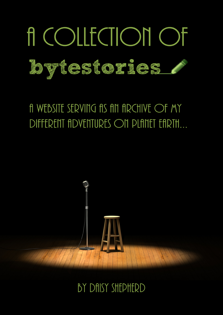

# A WEBSITE SERVING AS AN ARCHIVE OF MY DIFFERENT ADVENTURES ON PLANET EARTH...



## BY DAISY SHEPHERD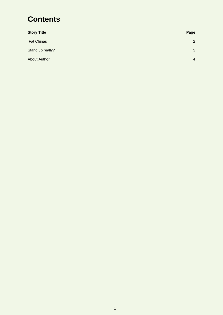## **Contents**

| <b>Story Title</b>  | Page           |
|---------------------|----------------|
| <b>Fat Chinas</b>   | 2              |
| Stand up really?    | 3              |
| <b>About Author</b> | $\overline{4}$ |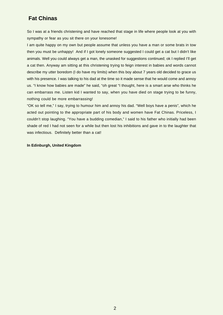### <span id="page-2-0"></span> **Fat Chinas**

So I was at a friends christening and have reached that stage in life where people look at you with sympathy or fear as you sit there on your lonesome!

I am quite happy on my own but people assume that unless you have a man or some brats in tow then you must be unhappy! And if I got lonely someone suggested I could get a cat but I didn't like animals. Well you could always get a man, the unasked for suggestions continued; ok I replied I'll get a cat then. Anyway am sitting at this christening trying to feign interest in babies and words cannot describe my utter boredom (I do have my limits) when this boy about 7 years old decided to grace us with his presence. I was talking to his dad at the time so it made sense that he would come and annoy us. "I know how babies are made" he said, "oh great "I thought, here is a smart arse who thinks he can embarrass me. Listen kid I wanted to say, when you have died on stage trying to be funny, nothing could be more embarrassing!

"OK so tell me," I say, trying to humour him and annoy his dad. "Well boys have a penis", which he acted out pointing to the appropriate part of his body and women have Fat Chinas. Priceless, I couldn't stop laughing. "You have a budding comedian," I said to his father who initially had been shade of red I had not seen for a while but then lost his inhibitions and gave in to the laughter that was infectious. Definitely better than a cat!

#### **In Edinburgh, United Kingdom**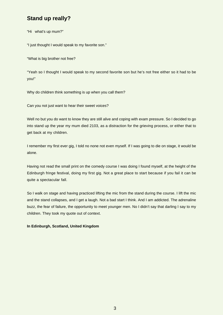## <span id="page-3-0"></span>**Stand up really?**

"Hi what's up mum?"

"I just thought I would speak to my favorite son."

"What is big brother not free?

"Yeah so I thought I would speak to my second favorite son but he's not free either so it had to be you!"

Why do children think something is up when you call them?

Can you not just want to hear their sweet voices?

Well no but you do want to know they are still alive and coping with exam pressure. So I decided to go into stand up the year my mum died 2103, as a distraction for the grieving process, or either that to get back at my children.

I remember my first ever gig, I told no none not even myself. If I was going to die on stage, it would be alone.

Having not read the small print on the comedy course I was doing I found myself, at the height of the Edinburgh fringe festival, doing my first gig. Not a great place to start because if you fail it can be quite a spectacular fall.

So I walk on stage and having practiced lifting the mic from the stand during the course. I lift the mic and the stand collapses, and I get a laugh. Not a bad start I think. And I am addicted. The adrenaline buzz, the fear of failure, the opportunity to meet younger men. No I didn't say that darling I say to my children. They took my quote out of context.

#### **In Edinburgh, Scotland, United Kingdom**